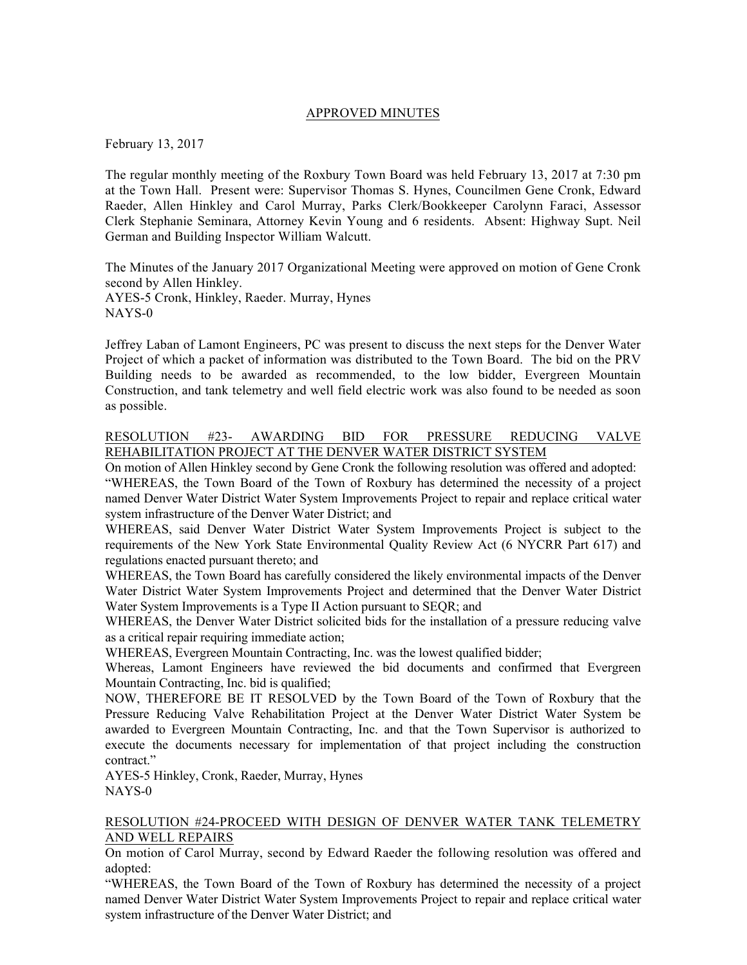### APPROVED MINUTES

February 13, 2017

The regular monthly meeting of the Roxbury Town Board was held February 13, 2017 at 7:30 pm at the Town Hall. Present were: Supervisor Thomas S. Hynes, Councilmen Gene Cronk, Edward Raeder, Allen Hinkley and Carol Murray, Parks Clerk/Bookkeeper Carolynn Faraci, Assessor Clerk Stephanie Seminara, Attorney Kevin Young and 6 residents. Absent: Highway Supt. Neil German and Building Inspector William Walcutt.

The Minutes of the January 2017 Organizational Meeting were approved on motion of Gene Cronk second by Allen Hinkley. AYES-5 Cronk, Hinkley, Raeder. Murray, Hynes

NAYS-0

Jeffrey Laban of Lamont Engineers, PC was present to discuss the next steps for the Denver Water Project of which a packet of information was distributed to the Town Board. The bid on the PRV Building needs to be awarded as recommended, to the low bidder, Evergreen Mountain Construction, and tank telemetry and well field electric work was also found to be needed as soon as possible.

## RESOLUTION #23- AWARDING BID FOR PRESSURE REDUCING VALVE REHABILITATION PROJECT AT THE DENVER WATER DISTRICT SYSTEM

On motion of Allen Hinkley second by Gene Cronk the following resolution was offered and adopted:

"WHEREAS, the Town Board of the Town of Roxbury has determined the necessity of a project named Denver Water District Water System Improvements Project to repair and replace critical water system infrastructure of the Denver Water District; and

WHEREAS, said Denver Water District Water System Improvements Project is subject to the requirements of the New York State Environmental Quality Review Act (6 NYCRR Part 617) and regulations enacted pursuant thereto; and

WHEREAS, the Town Board has carefully considered the likely environmental impacts of the Denver Water District Water System Improvements Project and determined that the Denver Water District Water System Improvements is a Type II Action pursuant to SEQR; and

WHEREAS, the Denver Water District solicited bids for the installation of a pressure reducing valve as a critical repair requiring immediate action;

WHEREAS, Evergreen Mountain Contracting, Inc. was the lowest qualified bidder;

Whereas, Lamont Engineers have reviewed the bid documents and confirmed that Evergreen Mountain Contracting, Inc. bid is qualified;

NOW, THEREFORE BE IT RESOLVED by the Town Board of the Town of Roxbury that the Pressure Reducing Valve Rehabilitation Project at the Denver Water District Water System be awarded to Evergreen Mountain Contracting, Inc. and that the Town Supervisor is authorized to execute the documents necessary for implementation of that project including the construction contract."

AYES-5 Hinkley, Cronk, Raeder, Murray, Hynes NAYS-0

#### RESOLUTION #24-PROCEED WITH DESIGN OF DENVER WATER TANK TELEMETRY AND WELL REPAIRS

On motion of Carol Murray, second by Edward Raeder the following resolution was offered and adopted:

"WHEREAS, the Town Board of the Town of Roxbury has determined the necessity of a project named Denver Water District Water System Improvements Project to repair and replace critical water system infrastructure of the Denver Water District; and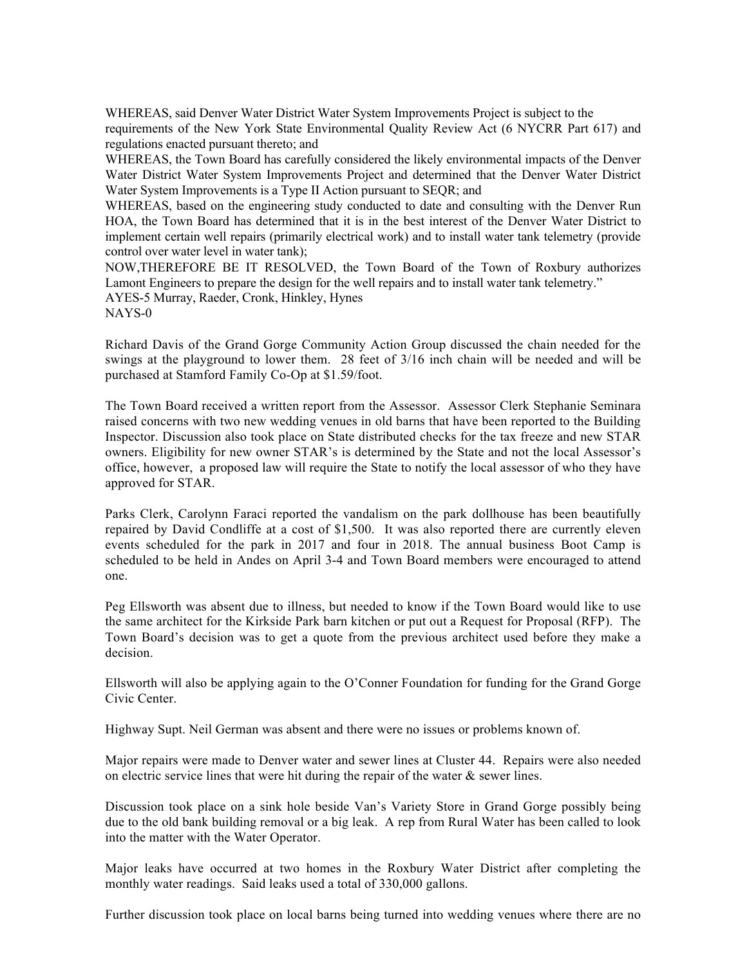WHEREAS, said Denver Water District Water System Improvements Project is subject to the requirements of the New York State Environmental Quality Review Act (6 NYCRR Part 617) and regulations enacted pursuant thereto; and

WHEREAS, the Town Board has carefully considered the likely environmental impacts of the Denver Water District Water System Improvements Project and determined that the Denver Water District Water System Improvements is a Type II Action pursuant to SEQR; and

WHEREAS, based on the engineering study conducted to date and consulting with the Denver Run HOA, the Town Board has determined that it is in the best interest of the Denver Water District to implement certain well repairs (primarily electrical work) and to install water tank telemetry (provide control over water level in water tank);

NOW,THEREFORE BE IT RESOLVED, the Town Board of the Town of Roxbury authorizes Lamont Engineers to prepare the design for the well repairs and to install water tank telemetry." AYES-5 Murray, Raeder, Cronk, Hinkley, Hynes

NAYS-0

Richard Davis of the Grand Gorge Community Action Group discussed the chain needed for the swings at the playground to lower them. 28 feet of 3/16 inch chain will be needed and will be purchased at Stamford Family Co-Op at \$1.59/foot.

The Town Board received a written report from the Assessor. Assessor Clerk Stephanie Seminara raised concerns with two new wedding venues in old barns that have been reported to the Building Inspector. Discussion also took place on State distributed checks for the tax freeze and new STAR owners. Eligibility for new owner STAR's is determined by the State and not the local Assessor's office, however, a proposed law will require the State to notify the local assessor of who they have approved for STAR.

Parks Clerk, Carolynn Faraci reported the vandalism on the park dollhouse has been beautifully repaired by David Condliffe at a cost of \$1,500. It was also reported there are currently eleven events scheduled for the park in 2017 and four in 2018. The annual business Boot Camp is scheduled to be held in Andes on April 3-4 and Town Board members were encouraged to attend one.

Peg Ellsworth was absent due to illness, but needed to know if the Town Board would like to use the same architect for the Kirkside Park barn kitchen or put out a Request for Proposal (RFP). The Town Board's decision was to get a quote from the previous architect used before they make a decision.

Ellsworth will also be applying again to the O'Conner Foundation for funding for the Grand Gorge Civic Center.

Highway Supt. Neil German was absent and there were no issues or problems known of.

Major repairs were made to Denver water and sewer lines at Cluster 44. Repairs were also needed on electric service lines that were hit during the repair of the water  $\&$  sewer lines.

Discussion took place on a sink hole beside Van's Variety Store in Grand Gorge possibly being due to the old bank building removal or a big leak. A rep from Rural Water has been called to look into the matter with the Water Operator.

Major leaks have occurred at two homes in the Roxbury Water District after completing the monthly water readings. Said leaks used a total of 330,000 gallons.

Further discussion took place on local barns being turned into wedding venues where there are no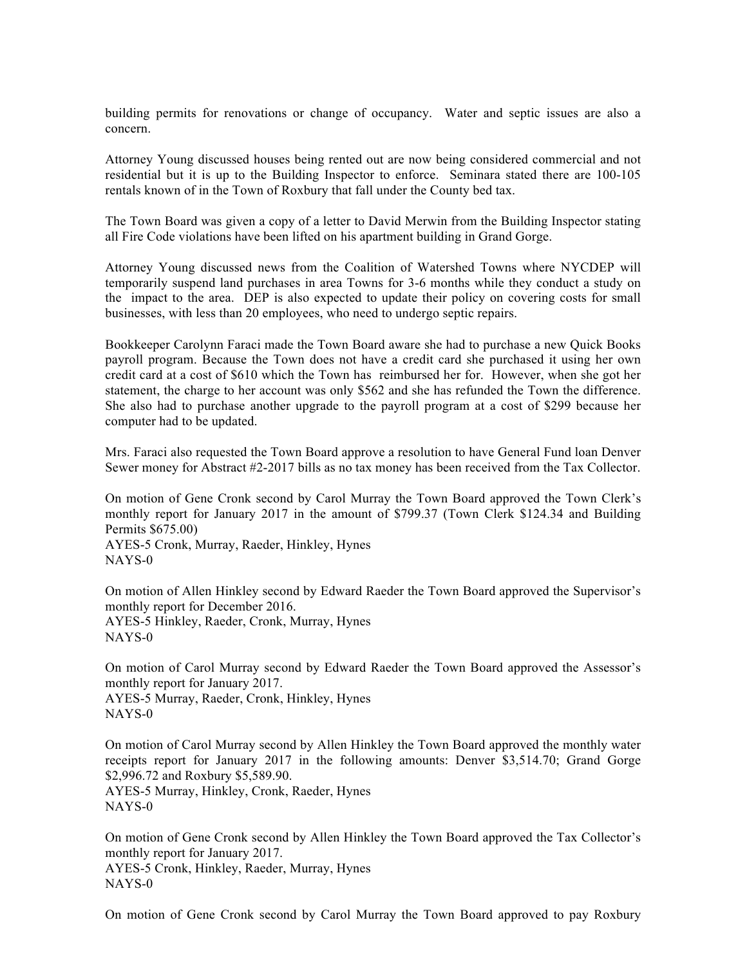building permits for renovations or change of occupancy. Water and septic issues are also a concern.

Attorney Young discussed houses being rented out are now being considered commercial and not residential but it is up to the Building Inspector to enforce. Seminara stated there are 100-105 rentals known of in the Town of Roxbury that fall under the County bed tax.

The Town Board was given a copy of a letter to David Merwin from the Building Inspector stating all Fire Code violations have been lifted on his apartment building in Grand Gorge.

Attorney Young discussed news from the Coalition of Watershed Towns where NYCDEP will temporarily suspend land purchases in area Towns for 3-6 months while they conduct a study on the impact to the area. DEP is also expected to update their policy on covering costs for small businesses, with less than 20 employees, who need to undergo septic repairs.

Bookkeeper Carolynn Faraci made the Town Board aware she had to purchase a new Quick Books payroll program. Because the Town does not have a credit card she purchased it using her own credit card at a cost of \$610 which the Town has reimbursed her for. However, when she got her statement, the charge to her account was only \$562 and she has refunded the Town the difference. She also had to purchase another upgrade to the payroll program at a cost of \$299 because her computer had to be updated.

Mrs. Faraci also requested the Town Board approve a resolution to have General Fund loan Denver Sewer money for Abstract #2-2017 bills as no tax money has been received from the Tax Collector.

On motion of Gene Cronk second by Carol Murray the Town Board approved the Town Clerk's monthly report for January 2017 in the amount of \$799.37 (Town Clerk \$124.34 and Building Permits \$675.00)

AYES-5 Cronk, Murray, Raeder, Hinkley, Hynes NAYS-0

On motion of Allen Hinkley second by Edward Raeder the Town Board approved the Supervisor's monthly report for December 2016. AYES-5 Hinkley, Raeder, Cronk, Murray, Hynes NAYS-0

On motion of Carol Murray second by Edward Raeder the Town Board approved the Assessor's monthly report for January 2017. AYES-5 Murray, Raeder, Cronk, Hinkley, Hynes

NAYS-0

On motion of Carol Murray second by Allen Hinkley the Town Board approved the monthly water receipts report for January 2017 in the following amounts: Denver \$3,514.70; Grand Gorge \$2,996.72 and Roxbury \$5,589.90.

AYES-5 Murray, Hinkley, Cronk, Raeder, Hynes NAYS-0

On motion of Gene Cronk second by Allen Hinkley the Town Board approved the Tax Collector's monthly report for January 2017.

AYES-5 Cronk, Hinkley, Raeder, Murray, Hynes NAYS-0

On motion of Gene Cronk second by Carol Murray the Town Board approved to pay Roxbury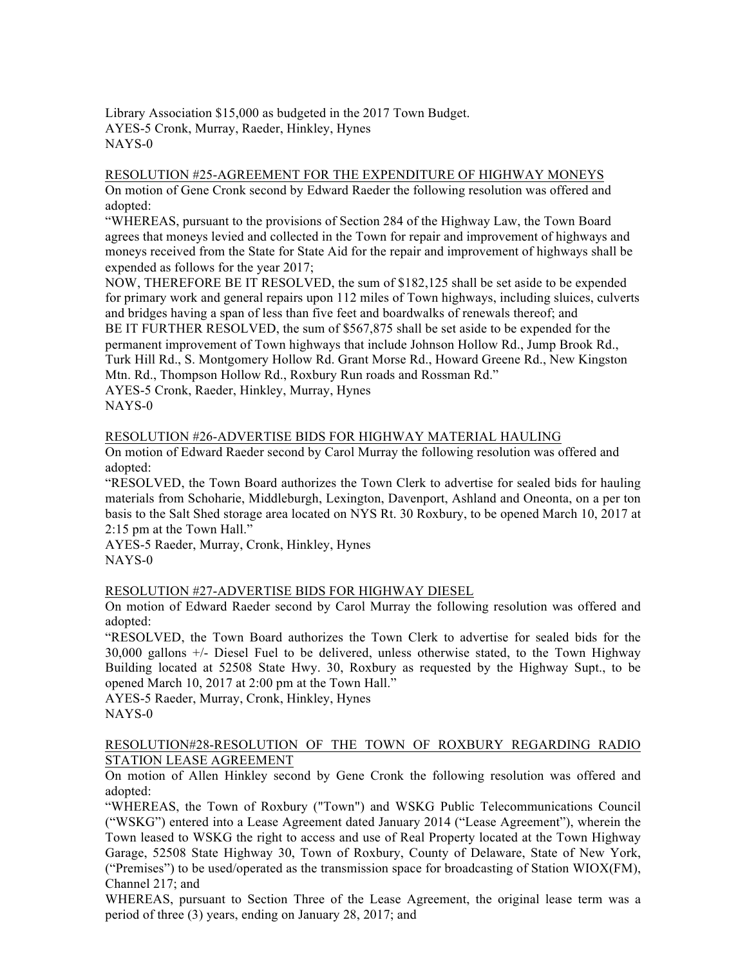Library Association \$15,000 as budgeted in the 2017 Town Budget. AYES-5 Cronk, Murray, Raeder, Hinkley, Hynes NAYS-0

# RESOLUTION #25-AGREEMENT FOR THE EXPENDITURE OF HIGHWAY MONEYS

On motion of Gene Cronk second by Edward Raeder the following resolution was offered and adopted:

"WHEREAS, pursuant to the provisions of Section 284 of the Highway Law, the Town Board agrees that moneys levied and collected in the Town for repair and improvement of highways and moneys received from the State for State Aid for the repair and improvement of highways shall be expended as follows for the year 2017;

NOW, THEREFORE BE IT RESOLVED, the sum of \$182,125 shall be set aside to be expended for primary work and general repairs upon 112 miles of Town highways, including sluices, culverts and bridges having a span of less than five feet and boardwalks of renewals thereof; and BE IT FURTHER RESOLVED, the sum of \$567,875 shall be set aside to be expended for the permanent improvement of Town highways that include Johnson Hollow Rd., Jump Brook Rd., Turk Hill Rd., S. Montgomery Hollow Rd. Grant Morse Rd., Howard Greene Rd., New Kingston Mtn. Rd., Thompson Hollow Rd., Roxbury Run roads and Rossman Rd."

AYES-5 Cronk, Raeder, Hinkley, Murray, Hynes NAYS-0

## RESOLUTION #26-ADVERTISE BIDS FOR HIGHWAY MATERIAL HAULING

On motion of Edward Raeder second by Carol Murray the following resolution was offered and adopted:

"RESOLVED, the Town Board authorizes the Town Clerk to advertise for sealed bids for hauling materials from Schoharie, Middleburgh, Lexington, Davenport, Ashland and Oneonta, on a per ton basis to the Salt Shed storage area located on NYS Rt. 30 Roxbury, to be opened March 10, 2017 at 2:15 pm at the Town Hall."

AYES-5 Raeder, Murray, Cronk, Hinkley, Hynes NAYS-0

## RESOLUTION #27-ADVERTISE BIDS FOR HIGHWAY DIESEL

On motion of Edward Raeder second by Carol Murray the following resolution was offered and adopted:

"RESOLVED, the Town Board authorizes the Town Clerk to advertise for sealed bids for the 30,000 gallons +/- Diesel Fuel to be delivered, unless otherwise stated, to the Town Highway Building located at 52508 State Hwy. 30, Roxbury as requested by the Highway Supt., to be opened March 10, 2017 at 2:00 pm at the Town Hall."

AYES-5 Raeder, Murray, Cronk, Hinkley, Hynes NAYS-0

### RESOLUTION#28-RESOLUTION OF THE TOWN OF ROXBURY REGARDING RADIO STATION LEASE AGREEMENT

On motion of Allen Hinkley second by Gene Cronk the following resolution was offered and adopted:

"WHEREAS, the Town of Roxbury ("Town") and WSKG Public Telecommunications Council ("WSKG") entered into a Lease Agreement dated January 2014 ("Lease Agreement"), wherein the Town leased to WSKG the right to access and use of Real Property located at the Town Highway Garage, 52508 State Highway 30, Town of Roxbury, County of Delaware, State of New York, ("Premises") to be used/operated as the transmission space for broadcasting of Station WIOX(FM), Channel 217; and

WHEREAS, pursuant to Section Three of the Lease Agreement, the original lease term was a period of three (3) years, ending on January 28, 2017; and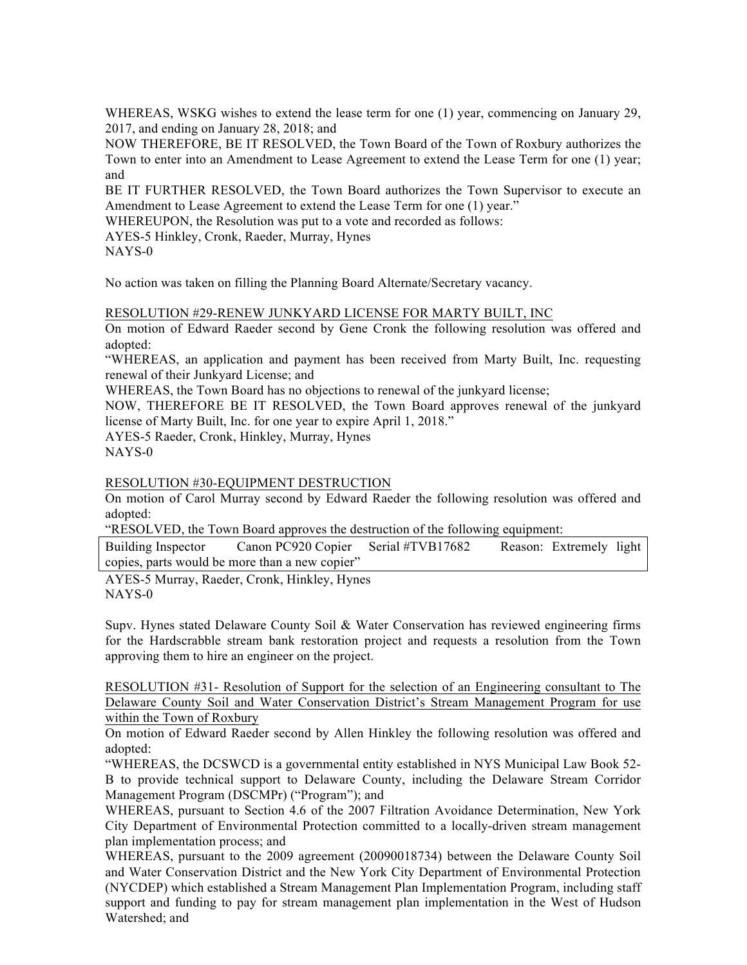WHEREAS, WSKG wishes to extend the lease term for one (1) year, commencing on January 29, 2017, and ending on January 28, 2018; and

NOW THEREFORE, BE IT RESOLVED, the Town Board of the Town of Roxbury authorizes the Town to enter into an Amendment to Lease Agreement to extend the Lease Term for one (1) year; and

BE IT FURTHER RESOLVED, the Town Board authorizes the Town Supervisor to execute an Amendment to Lease Agreement to extend the Lease Term for one (1) year."

WHEREUPON, the Resolution was put to a vote and recorded as follows:

AYES-5 Hinkley, Cronk, Raeder, Murray, Hynes

NAYS-0

No action was taken on filling the Planning Board Alternate/Secretary vacancy.

#### RESOLUTION #29-RENEW JUNKYARD LICENSE FOR MARTY BUILT, INC

On motion of Edward Raeder second by Gene Cronk the following resolution was offered and adopted:

"WHEREAS, an application and payment has been received from Marty Built, Inc. requesting renewal of their Junkyard License; and

WHEREAS, the Town Board has no objections to renewal of the junkyard license;

NOW, THEREFORE BE IT RESOLVED, the Town Board approves renewal of the junkyard license of Marty Built, Inc. for one year to expire April 1, 2018."

AYES-5 Raeder, Cronk, Hinkley, Murray, Hynes

NAYS-0

RESOLUTION #30-EQUIPMENT DESTRUCTION

On motion of Carol Murray second by Edward Raeder the following resolution was offered and adopted:

"RESOLVED, the Town Board approves the destruction of the following equipment:

Building Inspector Canon PC920 Copier Serial #TVB17682 Reason: Extremely light copies, parts would be more than a new copier"

AYES-5 Murray, Raeder, Cronk, Hinkley, Hynes NAYS-0

Supv. Hynes stated Delaware County Soil & Water Conservation has reviewed engineering firms for the Hardscrabble stream bank restoration project and requests a resolution from the Town approving them to hire an engineer on the project.

RESOLUTION #31- Resolution of Support for the selection of an Engineering consultant to The Delaware County Soil and Water Conservation District's Stream Management Program for use within the Town of Roxbury

On motion of Edward Raeder second by Allen Hinkley the following resolution was offered and adopted:

"WHEREAS, the DCSWCD is a governmental entity established in NYS Municipal Law Book 52- B to provide technical support to Delaware County, including the Delaware Stream Corridor Management Program (DSCMPr) ("Program"); and

WHEREAS, pursuant to Section 4.6 of the 2007 Filtration Avoidance Determination, New York City Department of Environmental Protection committed to a locally-driven stream management plan implementation process; and

WHEREAS, pursuant to the 2009 agreement (20090018734) between the Delaware County Soil and Water Conservation District and the New York City Department of Environmental Protection (NYCDEP) which established a Stream Management Plan Implementation Program, including staff support and funding to pay for stream management plan implementation in the West of Hudson Watershed; and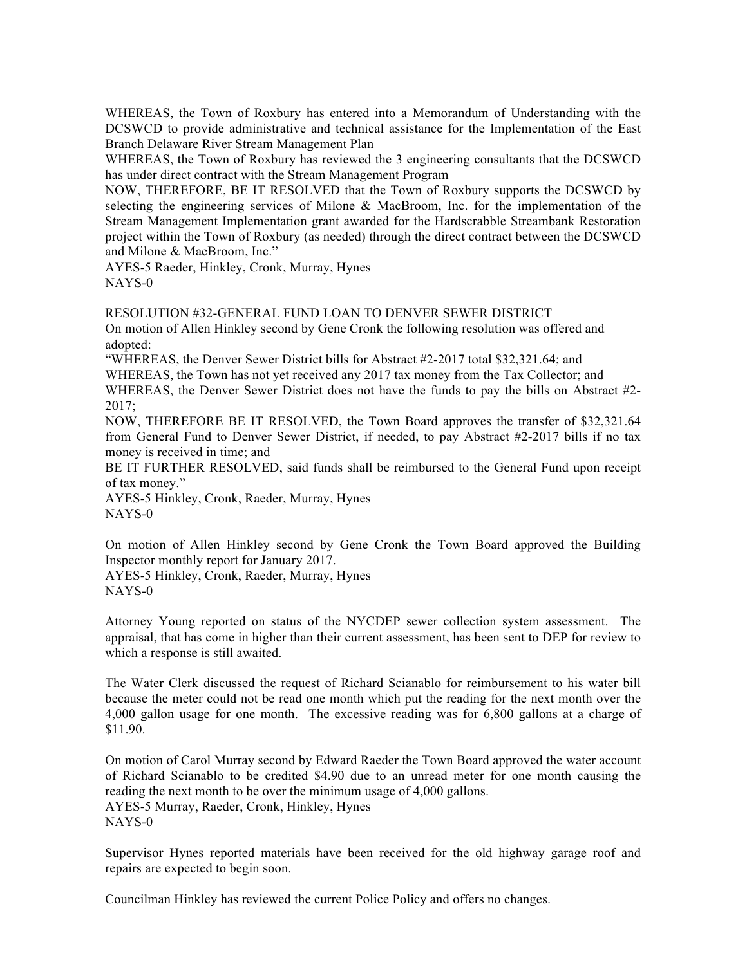WHEREAS, the Town of Roxbury has entered into a Memorandum of Understanding with the DCSWCD to provide administrative and technical assistance for the Implementation of the East Branch Delaware River Stream Management Plan

WHEREAS, the Town of Roxbury has reviewed the 3 engineering consultants that the DCSWCD has under direct contract with the Stream Management Program

NOW, THEREFORE, BE IT RESOLVED that the Town of Roxbury supports the DCSWCD by selecting the engineering services of Milone & MacBroom, Inc. for the implementation of the Stream Management Implementation grant awarded for the Hardscrabble Streambank Restoration project within the Town of Roxbury (as needed) through the direct contract between the DCSWCD and Milone & MacBroom, Inc."

AYES-5 Raeder, Hinkley, Cronk, Murray, Hynes NAYS-0

#### RESOLUTION #32-GENERAL FUND LOAN TO DENVER SEWER DISTRICT

On motion of Allen Hinkley second by Gene Cronk the following resolution was offered and adopted:

"WHEREAS, the Denver Sewer District bills for Abstract #2-2017 total \$32,321.64; and

WHEREAS, the Town has not yet received any 2017 tax money from the Tax Collector; and WHEREAS, the Denver Sewer District does not have the funds to pay the bills on Abstract #2- 2017;

NOW, THEREFORE BE IT RESOLVED, the Town Board approves the transfer of \$32,321.64 from General Fund to Denver Sewer District, if needed, to pay Abstract #2-2017 bills if no tax money is received in time; and

BE IT FURTHER RESOLVED, said funds shall be reimbursed to the General Fund upon receipt of tax money."

AYES-5 Hinkley, Cronk, Raeder, Murray, Hynes NAYS-0

On motion of Allen Hinkley second by Gene Cronk the Town Board approved the Building Inspector monthly report for January 2017.

AYES-5 Hinkley, Cronk, Raeder, Murray, Hynes NAYS-0

Attorney Young reported on status of the NYCDEP sewer collection system assessment. The appraisal, that has come in higher than their current assessment, has been sent to DEP for review to which a response is still awaited.

The Water Clerk discussed the request of Richard Scianablo for reimbursement to his water bill because the meter could not be read one month which put the reading for the next month over the 4,000 gallon usage for one month. The excessive reading was for 6,800 gallons at a charge of \$11.90.

On motion of Carol Murray second by Edward Raeder the Town Board approved the water account of Richard Scianablo to be credited \$4.90 due to an unread meter for one month causing the reading the next month to be over the minimum usage of 4,000 gallons. AYES-5 Murray, Raeder, Cronk, Hinkley, Hynes NAYS-0

Supervisor Hynes reported materials have been received for the old highway garage roof and repairs are expected to begin soon.

Councilman Hinkley has reviewed the current Police Policy and offers no changes.